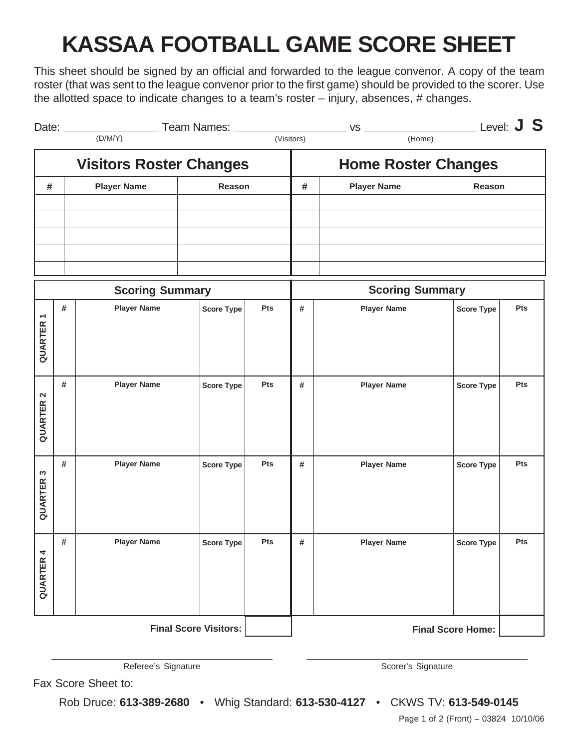# **KASSAA FOOTBALL GAME SCORE SHEET**

This sheet should be signed by an official and forwarded to the league convenor. A copy of the team roster (that was sent to the league convenor prior to the first game) should be provided to the scorer. Use the allotted space to indicate changes to a team's roster – injury, absences, # changes.

| Date: $\_\_$ | Team Names: ________<br>(D/M/Y) |        | (Visitors)<br>(Home) |                            | Level: $J S$  |  |
|--------------|---------------------------------|--------|----------------------|----------------------------|---------------|--|
|              | <b>Visitors Roster Changes</b>  |        |                      | <b>Home Roster Changes</b> |               |  |
| #            | <b>Player Name</b>              | Reason | #                    | <b>Player Name</b>         | <b>Reason</b> |  |
|              |                                 |        |                      |                            |               |  |
|              |                                 |        |                      |                            |               |  |
|              |                                 |        |                      |                            |               |  |
|              |                                 |        |                      |                            |               |  |
|              |                                 |        |                      |                            |               |  |

| <b>Scoring Summary</b>              |   |                    |                   |     | <b>Scoring Summary</b>   |                    |                   |     |
|-------------------------------------|---|--------------------|-------------------|-----|--------------------------|--------------------|-------------------|-----|
| $\overline{\phantom{0}}$<br>QUARTER | # | <b>Player Name</b> | <b>Score Type</b> | Pts | #                        | <b>Player Name</b> | <b>Score Type</b> | Pts |
| $\boldsymbol{\sim}$<br>QUARTER      | # | <b>Player Name</b> | <b>Score Type</b> | Pts | #                        | <b>Player Name</b> | <b>Score Type</b> | Pts |
| $\boldsymbol{\sim}$<br>QUARTER      | # | <b>Player Name</b> | <b>Score Type</b> | Pts | #                        | <b>Player Name</b> | <b>Score Type</b> | Pts |
| 4<br>QUARTER                        | # | <b>Player Name</b> | Score Type        | Pts | #                        | <b>Player Name</b> | <b>Score Type</b> | Pts |
| <b>Final Score Visitors:</b>        |   |                    |                   |     | <b>Final Score Home:</b> |                    |                   |     |

Referee's Signature **Scorer's Signature** Scorer's Signature Scorer's Signature

Fax Score Sheet to:

Rob Druce: **613-389-2680** • Whig Standard: **613-530-4127** • CKWS TV: **613-549-0145**

Page 1 of 2 (Front) – 03824 10/10/06